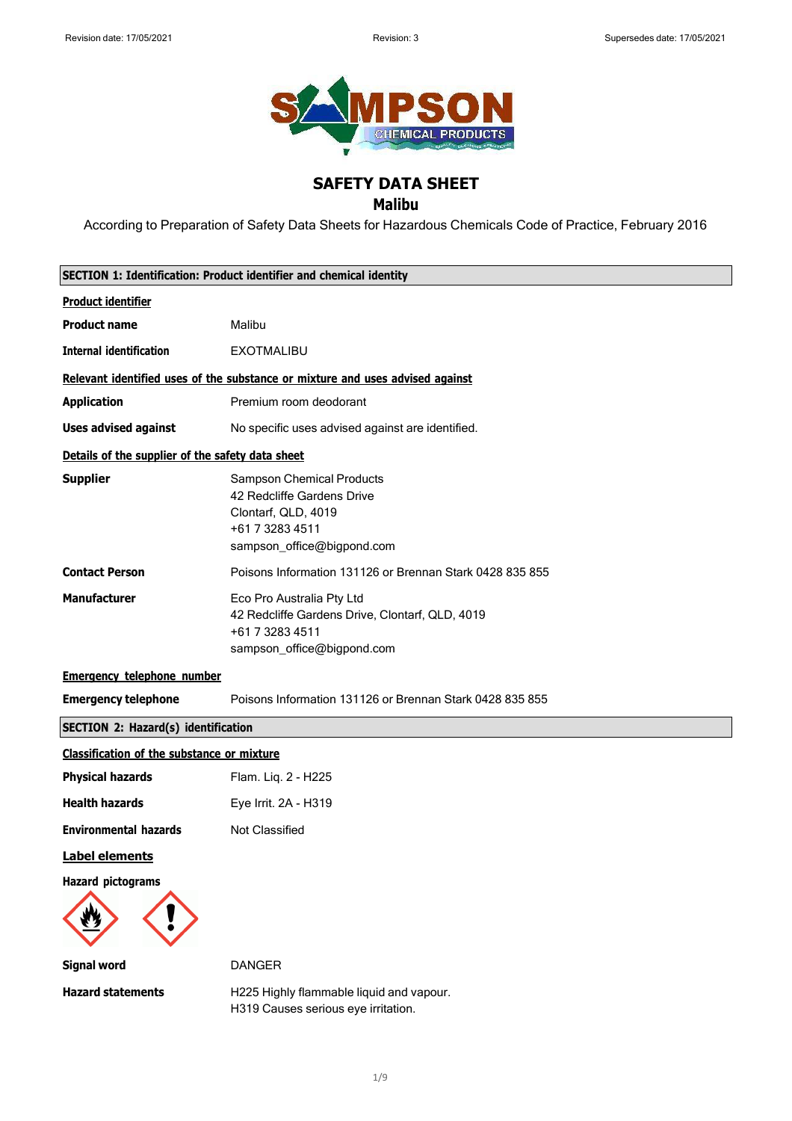

# **SAFETY DATA SHEET**

## **Malibu**

According to Preparation of Safety Data Sheets for Hazardous Chemicals Code of Practice, February 2016

|                                                   | SECTION 1: Identification: Product identifier and chemical identity                                                                    |  |  |
|---------------------------------------------------|----------------------------------------------------------------------------------------------------------------------------------------|--|--|
| <b>Product identifier</b>                         |                                                                                                                                        |  |  |
| <b>Product name</b>                               | Malibu                                                                                                                                 |  |  |
| <b>Internal identification</b>                    | <b>EXOTMALIBU</b>                                                                                                                      |  |  |
|                                                   | Relevant identified uses of the substance or mixture and uses advised against                                                          |  |  |
| <b>Application</b>                                | Premium room deodorant                                                                                                                 |  |  |
| <b>Uses advised against</b>                       | No specific uses advised against are identified.                                                                                       |  |  |
| Details of the supplier of the safety data sheet  |                                                                                                                                        |  |  |
| <b>Supplier</b>                                   | <b>Sampson Chemical Products</b><br>42 Redcliffe Gardens Drive<br>Clontarf, QLD, 4019<br>+61 7 3283 4511<br>sampson_office@bigpond.com |  |  |
| <b>Contact Person</b>                             | Poisons Information 131126 or Brennan Stark 0428 835 855                                                                               |  |  |
| <b>Manufacturer</b>                               | Eco Pro Australia Pty Ltd<br>42 Redcliffe Gardens Drive, Clontarf, QLD, 4019<br>+61 7 3283 4511<br>sampson_office@bigpond.com          |  |  |
| <b>Emergency telephone number</b>                 |                                                                                                                                        |  |  |
| <b>Emergency telephone</b>                        | Poisons Information 131126 or Brennan Stark 0428 835 855                                                                               |  |  |
| <b>SECTION 2: Hazard(s) identification</b>        |                                                                                                                                        |  |  |
| <b>Classification of the substance or mixture</b> |                                                                                                                                        |  |  |
| <b>Physical hazards</b>                           | Flam. Liq. 2 - H225                                                                                                                    |  |  |
| <b>Health hazards</b>                             | Eye Irrit. 2A - H319                                                                                                                   |  |  |
| <b>Environmental hazards</b>                      | Not Classified                                                                                                                         |  |  |
| Label elements                                    |                                                                                                                                        |  |  |
| <b>Hazard pictograms</b>                          |                                                                                                                                        |  |  |
| <b>Signal word</b>                                | <b>DANGER</b>                                                                                                                          |  |  |

**Hazard statements** H225 Highly flammable liquid and vapour. H319 Causes serious eye irritation.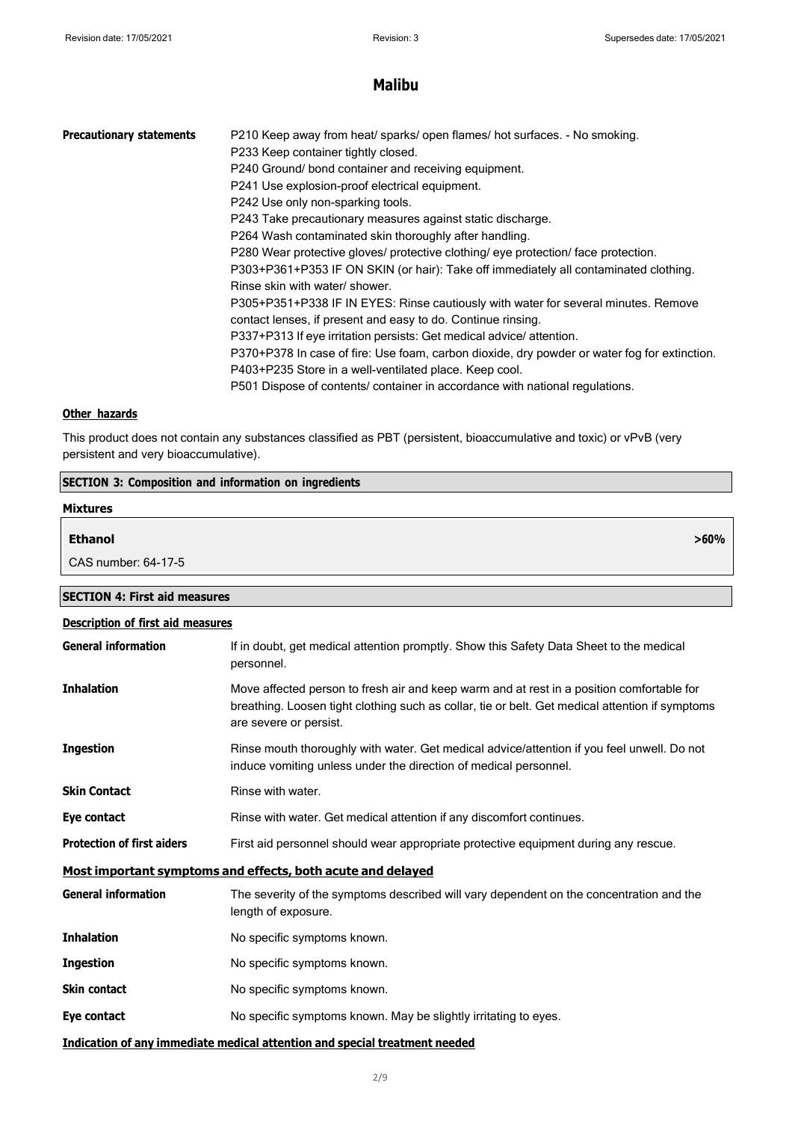**>60%**

# **Malibu**

| <b>Precautionary statements</b> | P210 Keep away from heat/ sparks/ open flames/ hot surfaces. - No smoking.<br>P233 Keep container tightly closed.<br>P240 Ground/ bond container and receiving equipment.<br>P241 Use explosion-proof electrical equipment.<br>P242 Use only non-sparking tools.<br>P243 Take precautionary measures against static discharge.<br>P264 Wash contaminated skin thoroughly after handling.<br>P280 Wear protective gloves/ protective clothing/ eye protection/ face protection.<br>P303+P361+P353 IF ON SKIN (or hair): Take off immediately all contaminated clothing.<br>Rinse skin with water/ shower.<br>P305+P351+P338 IF IN EYES: Rinse cautiously with water for several minutes. Remove<br>contact lenses, if present and easy to do. Continue rinsing.<br>P337+P313 If eye irritation persists: Get medical advice/attention.<br>P370+P378 In case of fire: Use foam, carbon dioxide, dry powder or water fog for extinction.<br>P403+P235 Store in a well-ventilated place. Keep cool. |
|---------------------------------|-------------------------------------------------------------------------------------------------------------------------------------------------------------------------------------------------------------------------------------------------------------------------------------------------------------------------------------------------------------------------------------------------------------------------------------------------------------------------------------------------------------------------------------------------------------------------------------------------------------------------------------------------------------------------------------------------------------------------------------------------------------------------------------------------------------------------------------------------------------------------------------------------------------------------------------------------------------------------------------------------|
|                                 | P501 Dispose of contents/ container in accordance with national regulations.                                                                                                                                                                                                                                                                                                                                                                                                                                                                                                                                                                                                                                                                                                                                                                                                                                                                                                                    |
|                                 |                                                                                                                                                                                                                                                                                                                                                                                                                                                                                                                                                                                                                                                                                                                                                                                                                                                                                                                                                                                                 |

#### **Other hazards**

This product does not contain any substances classified as PBT (persistent, bioaccumulative and toxic) or vPvB (very persistent and very bioaccumulative).

| <b>SECTION 3: Composition and information on ingredients</b> |                     |  |
|--------------------------------------------------------------|---------------------|--|
|                                                              | <b>Mixtures</b>     |  |
|                                                              | <b>Ethanol</b>      |  |
|                                                              | CAS number: 64-17-5 |  |

**SECTION 4: First aid measures**

| <b>Description of first aid measures</b> |                                                                                                                                                                                                                        |  |  |
|------------------------------------------|------------------------------------------------------------------------------------------------------------------------------------------------------------------------------------------------------------------------|--|--|
| <b>General information</b>               | If in doubt, get medical attention promptly. Show this Safety Data Sheet to the medical<br>personnel.                                                                                                                  |  |  |
| <b>Inhalation</b>                        | Move affected person to fresh air and keep warm and at rest in a position comfortable for<br>breathing. Loosen tight clothing such as collar, tie or belt. Get medical attention if symptoms<br>are severe or persist. |  |  |
| <b>Ingestion</b>                         | Rinse mouth thoroughly with water. Get medical advice/attention if you feel unwell. Do not<br>induce vomiting unless under the direction of medical personnel.                                                         |  |  |
| <b>Skin Contact</b>                      | Rinse with water.                                                                                                                                                                                                      |  |  |
| Eye contact                              | Rinse with water. Get medical attention if any discomfort continues.                                                                                                                                                   |  |  |
| <b>Protection of first aiders</b>        | First aid personnel should wear appropriate protective equipment during any rescue.                                                                                                                                    |  |  |
|                                          | Most important symptoms and effects, both acute and delayed                                                                                                                                                            |  |  |
| <b>General information</b>               | The severity of the symptoms described will vary dependent on the concentration and the<br>length of exposure.                                                                                                         |  |  |
| <b>Inhalation</b>                        | No specific symptoms known.                                                                                                                                                                                            |  |  |
| <b>Ingestion</b>                         | No specific symptoms known.                                                                                                                                                                                            |  |  |
| <b>Skin contact</b>                      | No specific symptoms known.                                                                                                                                                                                            |  |  |
| Eye contact                              | No specific symptoms known. May be slightly irritating to eyes.                                                                                                                                                        |  |  |
|                                          | Indication of any immediate medical attention and special treatment needed                                                                                                                                             |  |  |

#### 2/9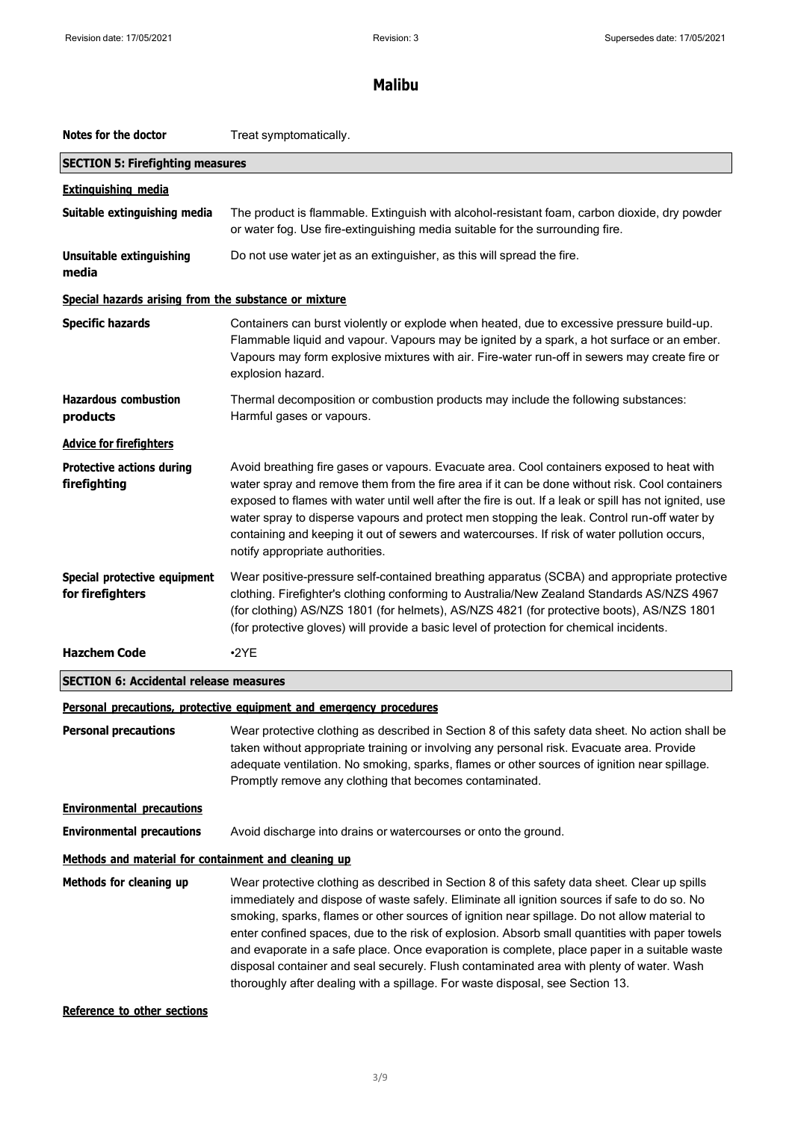| Notes for the doctor                                                | Treat symptomatically.                                                                                                                                                                                                                                                                                                                                                                                                                                                                                                                                                                                                                                                       |  |  |
|---------------------------------------------------------------------|------------------------------------------------------------------------------------------------------------------------------------------------------------------------------------------------------------------------------------------------------------------------------------------------------------------------------------------------------------------------------------------------------------------------------------------------------------------------------------------------------------------------------------------------------------------------------------------------------------------------------------------------------------------------------|--|--|
| <b>SECTION 5: Firefighting measures</b>                             |                                                                                                                                                                                                                                                                                                                                                                                                                                                                                                                                                                                                                                                                              |  |  |
| <b>Extinguishing media</b>                                          |                                                                                                                                                                                                                                                                                                                                                                                                                                                                                                                                                                                                                                                                              |  |  |
| Suitable extinguishing media                                        | The product is flammable. Extinguish with alcohol-resistant foam, carbon dioxide, dry powder<br>or water fog. Use fire-extinguishing media suitable for the surrounding fire.                                                                                                                                                                                                                                                                                                                                                                                                                                                                                                |  |  |
| Unsuitable extinguishing<br>media                                   | Do not use water jet as an extinguisher, as this will spread the fire.                                                                                                                                                                                                                                                                                                                                                                                                                                                                                                                                                                                                       |  |  |
| Special hazards arising from the substance or mixture               |                                                                                                                                                                                                                                                                                                                                                                                                                                                                                                                                                                                                                                                                              |  |  |
| <b>Specific hazards</b>                                             | Containers can burst violently or explode when heated, due to excessive pressure build-up.<br>Flammable liquid and vapour. Vapours may be ignited by a spark, a hot surface or an ember.<br>Vapours may form explosive mixtures with air. Fire-water run-off in sewers may create fire or<br>explosion hazard.                                                                                                                                                                                                                                                                                                                                                               |  |  |
| <b>Hazardous combustion</b><br>products                             | Thermal decomposition or combustion products may include the following substances:<br>Harmful gases or vapours.                                                                                                                                                                                                                                                                                                                                                                                                                                                                                                                                                              |  |  |
| <b>Advice for firefighters</b>                                      |                                                                                                                                                                                                                                                                                                                                                                                                                                                                                                                                                                                                                                                                              |  |  |
| <b>Protective actions during</b><br>firefighting                    | Avoid breathing fire gases or vapours. Evacuate area. Cool containers exposed to heat with<br>water spray and remove them from the fire area if it can be done without risk. Cool containers<br>exposed to flames with water until well after the fire is out. If a leak or spill has not ignited, use<br>water spray to disperse vapours and protect men stopping the leak. Control run-off water by<br>containing and keeping it out of sewers and watercourses. If risk of water pollution occurs,<br>notify appropriate authorities.                                                                                                                                     |  |  |
| Special protective equipment<br>for firefighters                    | Wear positive-pressure self-contained breathing apparatus (SCBA) and appropriate protective<br>clothing. Firefighter's clothing conforming to Australia/New Zealand Standards AS/NZS 4967<br>(for clothing) AS/NZS 1801 (for helmets), AS/NZS 4821 (for protective boots), AS/NZS 1801<br>(for protective gloves) will provide a basic level of protection for chemical incidents.                                                                                                                                                                                                                                                                                           |  |  |
| <b>Hazchem Code</b>                                                 | $\cdot$ <sub>2</sub> YE                                                                                                                                                                                                                                                                                                                                                                                                                                                                                                                                                                                                                                                      |  |  |
|                                                                     | <b>SECTION 6: Accidental release measures</b>                                                                                                                                                                                                                                                                                                                                                                                                                                                                                                                                                                                                                                |  |  |
| Personal precautions, protective equipment and emergency procedures |                                                                                                                                                                                                                                                                                                                                                                                                                                                                                                                                                                                                                                                                              |  |  |
| <b>Personal precautions</b>                                         | Wear protective clothing as described in Section 8 of this safety data sheet. No action shall be<br>taken without appropriate training or involving any personal risk. Evacuate area. Provide<br>adequate ventilation. No smoking, sparks, flames or other sources of ignition near spillage.<br>Promptly remove any clothing that becomes contaminated.                                                                                                                                                                                                                                                                                                                     |  |  |
| <b>Environmental precautions</b>                                    |                                                                                                                                                                                                                                                                                                                                                                                                                                                                                                                                                                                                                                                                              |  |  |
| <b>Environmental precautions</b>                                    | Avoid discharge into drains or watercourses or onto the ground.                                                                                                                                                                                                                                                                                                                                                                                                                                                                                                                                                                                                              |  |  |
| Methods and material for containment and cleaning up                |                                                                                                                                                                                                                                                                                                                                                                                                                                                                                                                                                                                                                                                                              |  |  |
| Methods for cleaning up                                             | Wear protective clothing as described in Section 8 of this safety data sheet. Clear up spills<br>immediately and dispose of waste safely. Eliminate all ignition sources if safe to do so. No<br>smoking, sparks, flames or other sources of ignition near spillage. Do not allow material to<br>enter confined spaces, due to the risk of explosion. Absorb small quantities with paper towels<br>and evaporate in a safe place. Once evaporation is complete, place paper in a suitable waste<br>disposal container and seal securely. Flush contaminated area with plenty of water. Wash<br>thoroughly after dealing with a spillage. For waste disposal, see Section 13. |  |  |
| Reference to other sections                                         |                                                                                                                                                                                                                                                                                                                                                                                                                                                                                                                                                                                                                                                                              |  |  |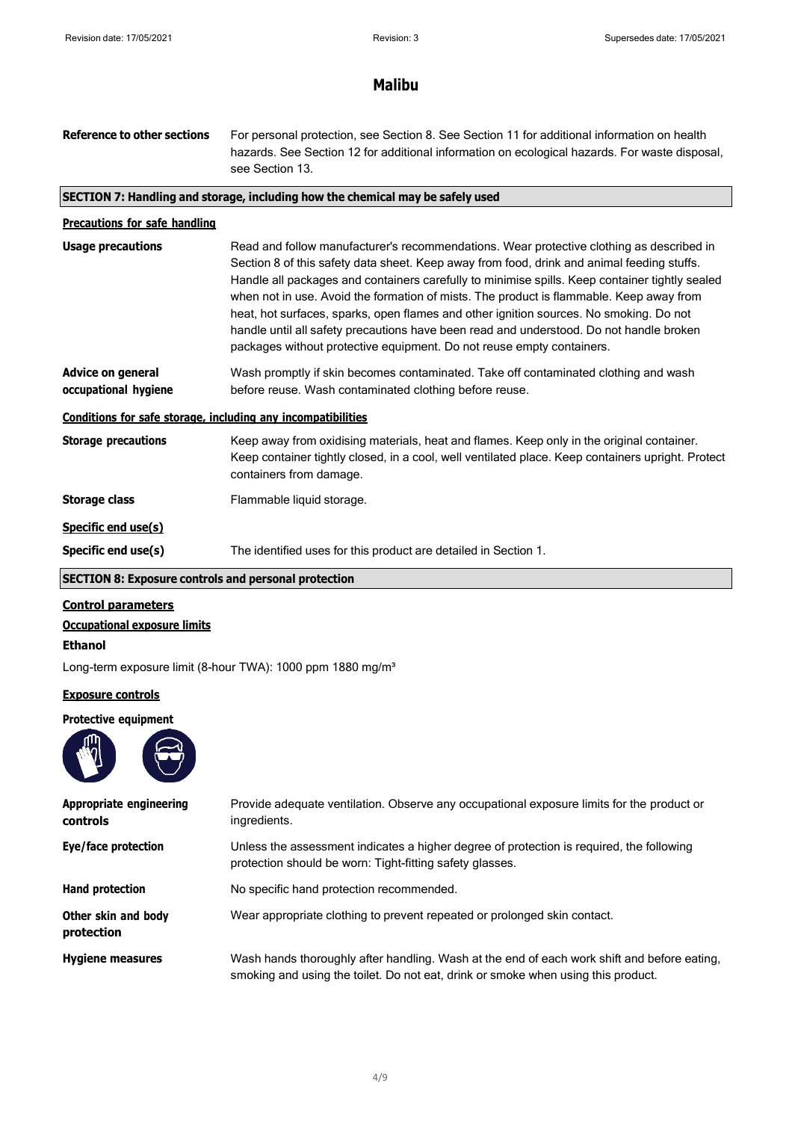| <b>Reference to other sections</b>                           | For personal protection, see Section 8. See Section 11 for additional information on health<br>hazards. See Section 12 for additional information on ecological hazards. For waste disposal,<br>see Section 13.                                                                                                                                                                                                                                                                                                                                                                                                                                   |  |  |
|--------------------------------------------------------------|---------------------------------------------------------------------------------------------------------------------------------------------------------------------------------------------------------------------------------------------------------------------------------------------------------------------------------------------------------------------------------------------------------------------------------------------------------------------------------------------------------------------------------------------------------------------------------------------------------------------------------------------------|--|--|
|                                                              | SECTION 7: Handling and storage, including how the chemical may be safely used                                                                                                                                                                                                                                                                                                                                                                                                                                                                                                                                                                    |  |  |
| <b>Precautions for safe handling</b>                         |                                                                                                                                                                                                                                                                                                                                                                                                                                                                                                                                                                                                                                                   |  |  |
| <b>Usage precautions</b>                                     | Read and follow manufacturer's recommendations. Wear protective clothing as described in<br>Section 8 of this safety data sheet. Keep away from food, drink and animal feeding stuffs.<br>Handle all packages and containers carefully to minimise spills. Keep container tightly sealed<br>when not in use. Avoid the formation of mists. The product is flammable. Keep away from<br>heat, hot surfaces, sparks, open flames and other ignition sources. No smoking. Do not<br>handle until all safety precautions have been read and understood. Do not handle broken<br>packages without protective equipment. Do not reuse empty containers. |  |  |
| <b>Advice on general</b><br>occupational hygiene             | Wash promptly if skin becomes contaminated. Take off contaminated clothing and wash<br>before reuse. Wash contaminated clothing before reuse.                                                                                                                                                                                                                                                                                                                                                                                                                                                                                                     |  |  |
| Conditions for safe storage, including any incompatibilities |                                                                                                                                                                                                                                                                                                                                                                                                                                                                                                                                                                                                                                                   |  |  |
| <b>Storage precautions</b>                                   | Keep away from oxidising materials, heat and flames. Keep only in the original container.<br>Keep container tightly closed, in a cool, well ventilated place. Keep containers upright. Protect<br>containers from damage.                                                                                                                                                                                                                                                                                                                                                                                                                         |  |  |
| <b>Storage class</b>                                         | Flammable liquid storage.                                                                                                                                                                                                                                                                                                                                                                                                                                                                                                                                                                                                                         |  |  |
| Specific end use(s)                                          |                                                                                                                                                                                                                                                                                                                                                                                                                                                                                                                                                                                                                                                   |  |  |
| Specific end use(s)                                          | The identified uses for this product are detailed in Section 1.                                                                                                                                                                                                                                                                                                                                                                                                                                                                                                                                                                                   |  |  |
| <b>SECTION 8: Exposure controls and personal protection</b>  |                                                                                                                                                                                                                                                                                                                                                                                                                                                                                                                                                                                                                                                   |  |  |
| <b>Control parameters</b>                                    |                                                                                                                                                                                                                                                                                                                                                                                                                                                                                                                                                                                                                                                   |  |  |

**Occupational exposure limits**

**Ethanol**

Long-term exposure limit (8-hour TWA): 1000 ppm 1880 mg/m<sup>3</sup>

## **Exposure controls**

## **Protective equipment**



| Appropriate engineering<br>controls | Provide adequate ventilation. Observe any occupational exposure limits for the product or<br>ingredients.                                                                        |  |
|-------------------------------------|----------------------------------------------------------------------------------------------------------------------------------------------------------------------------------|--|
| Eye/face protection                 | Unless the assessment indicates a higher degree of protection is required, the following<br>protection should be worn: Tight-fitting safety glasses.                             |  |
| Hand protection                     | No specific hand protection recommended.                                                                                                                                         |  |
| Other skin and body<br>protection   | Wear appropriate clothing to prevent repeated or prolonged skin contact.                                                                                                         |  |
| <b>Hygiene measures</b>             | Wash hands thoroughly after handling. Wash at the end of each work shift and before eating,<br>smoking and using the toilet. Do not eat, drink or smoke when using this product. |  |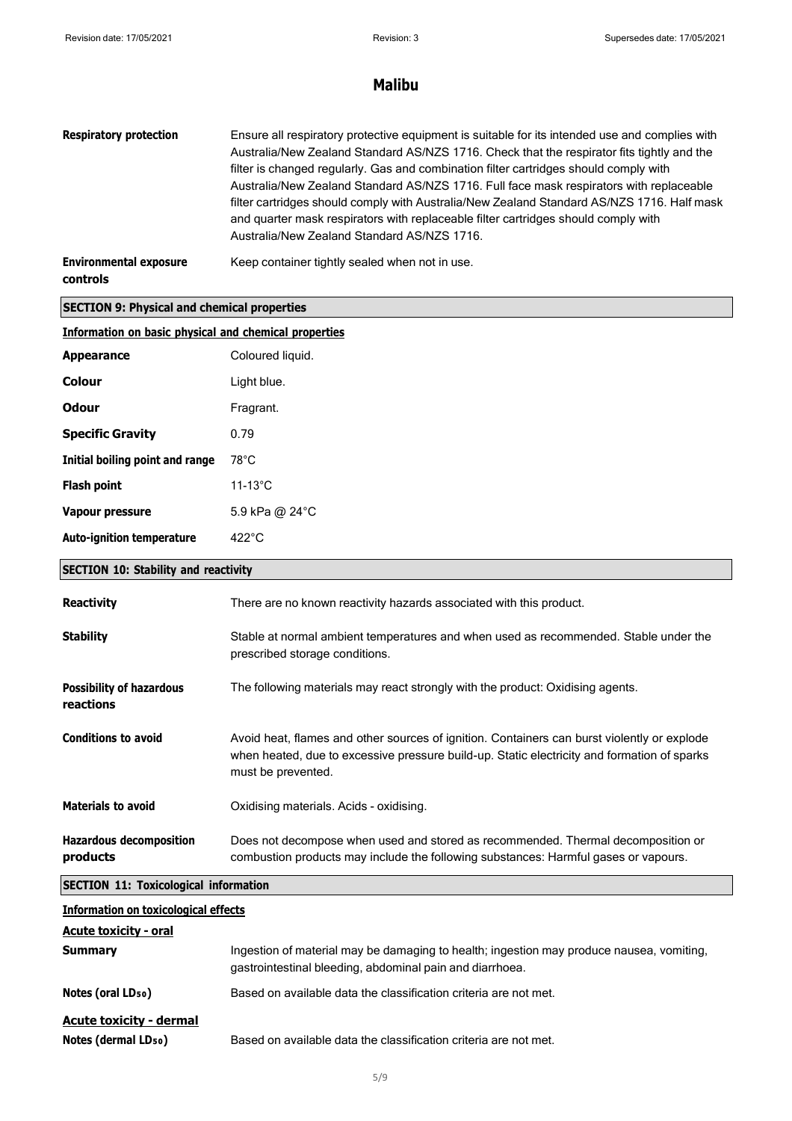| <b>Respiratory protection</b>                         | Ensure all respiratory protective equipment is suitable for its intended use and complies with<br>Australia/New Zealand Standard AS/NZS 1716. Check that the respirator fits tightly and the<br>filter is changed regularly. Gas and combination filter cartridges should comply with<br>Australia/New Zealand Standard AS/NZS 1716. Full face mask respirators with replaceable<br>filter cartridges should comply with Australia/New Zealand Standard AS/NZS 1716. Half mask<br>and quarter mask respirators with replaceable filter cartridges should comply with<br>Australia/New Zealand Standard AS/NZS 1716. |  |  |
|-------------------------------------------------------|---------------------------------------------------------------------------------------------------------------------------------------------------------------------------------------------------------------------------------------------------------------------------------------------------------------------------------------------------------------------------------------------------------------------------------------------------------------------------------------------------------------------------------------------------------------------------------------------------------------------|--|--|
| <b>Environmental exposure</b><br>controls             | Keep container tightly sealed when not in use.                                                                                                                                                                                                                                                                                                                                                                                                                                                                                                                                                                      |  |  |
| <b>SECTION 9: Physical and chemical properties</b>    |                                                                                                                                                                                                                                                                                                                                                                                                                                                                                                                                                                                                                     |  |  |
| Information on basic physical and chemical properties |                                                                                                                                                                                                                                                                                                                                                                                                                                                                                                                                                                                                                     |  |  |
| <b>Appearance</b>                                     | Coloured liquid.                                                                                                                                                                                                                                                                                                                                                                                                                                                                                                                                                                                                    |  |  |
| <b>Colour</b>                                         | Light blue.                                                                                                                                                                                                                                                                                                                                                                                                                                                                                                                                                                                                         |  |  |
| <b>Odour</b>                                          | Fragrant.                                                                                                                                                                                                                                                                                                                                                                                                                                                                                                                                                                                                           |  |  |
| <b>Specific Gravity</b>                               | 0.79                                                                                                                                                                                                                                                                                                                                                                                                                                                                                                                                                                                                                |  |  |
| Initial boiling point and range                       | $78^{\circ}$ C                                                                                                                                                                                                                                                                                                                                                                                                                                                                                                                                                                                                      |  |  |
| <b>Flash point</b>                                    | $11-13^{\circ}$ C                                                                                                                                                                                                                                                                                                                                                                                                                                                                                                                                                                                                   |  |  |
| Vapour pressure                                       | 5.9 kPa @ 24°C                                                                                                                                                                                                                                                                                                                                                                                                                                                                                                                                                                                                      |  |  |
| <b>Auto-ignition temperature</b><br>$422^{\circ}$ C   |                                                                                                                                                                                                                                                                                                                                                                                                                                                                                                                                                                                                                     |  |  |
| <b>SECTION 10: Stability and reactivity</b>           |                                                                                                                                                                                                                                                                                                                                                                                                                                                                                                                                                                                                                     |  |  |
| <b>Reactivity</b>                                     | There are no known reactivity hazards associated with this product.                                                                                                                                                                                                                                                                                                                                                                                                                                                                                                                                                 |  |  |
| <b>Stability</b>                                      | Stable at normal ambient temperatures and when used as recommended. Stable under the<br>prescribed storage conditions.                                                                                                                                                                                                                                                                                                                                                                                                                                                                                              |  |  |
| <b>Possibility of hazardous</b><br>reactions          | The following materials may react strongly with the product: Oxidising agents.                                                                                                                                                                                                                                                                                                                                                                                                                                                                                                                                      |  |  |
| <b>Conditions to avoid</b>                            | Avoid heat, flames and other sources of ignition. Containers can burst violently or explode<br>when heated, due to excessive pressure build-up. Static electricity and formation of sparks<br>must be prevented.                                                                                                                                                                                                                                                                                                                                                                                                    |  |  |
| <b>Materials to avoid</b>                             | Oxidising materials. Acids - oxidising.                                                                                                                                                                                                                                                                                                                                                                                                                                                                                                                                                                             |  |  |
| <b>Hazardous decomposition</b><br>products            | Does not decompose when used and stored as recommended. Thermal decomposition or<br>combustion products may include the following substances: Harmful gases or vapours.                                                                                                                                                                                                                                                                                                                                                                                                                                             |  |  |
| <b>SECTION 11: Toxicological information</b>          |                                                                                                                                                                                                                                                                                                                                                                                                                                                                                                                                                                                                                     |  |  |
| <b>Information on toxicological effects</b>           |                                                                                                                                                                                                                                                                                                                                                                                                                                                                                                                                                                                                                     |  |  |
| <b>Acute toxicity - oral</b><br><b>Summary</b>        | Ingestion of material may be damaging to health; ingestion may produce nausea, vomiting,<br>gastrointestinal bleeding, abdominal pain and diarrhoea.                                                                                                                                                                                                                                                                                                                                                                                                                                                                |  |  |
| Notes (oral LD <sub>50</sub> )                        | Based on available data the classification criteria are not met.                                                                                                                                                                                                                                                                                                                                                                                                                                                                                                                                                    |  |  |
| <b>Acute toxicity - dermal</b>                        |                                                                                                                                                                                                                                                                                                                                                                                                                                                                                                                                                                                                                     |  |  |

**Notes (dermal LD<sub>50</sub>)** Based on available data the classification criteria are not met.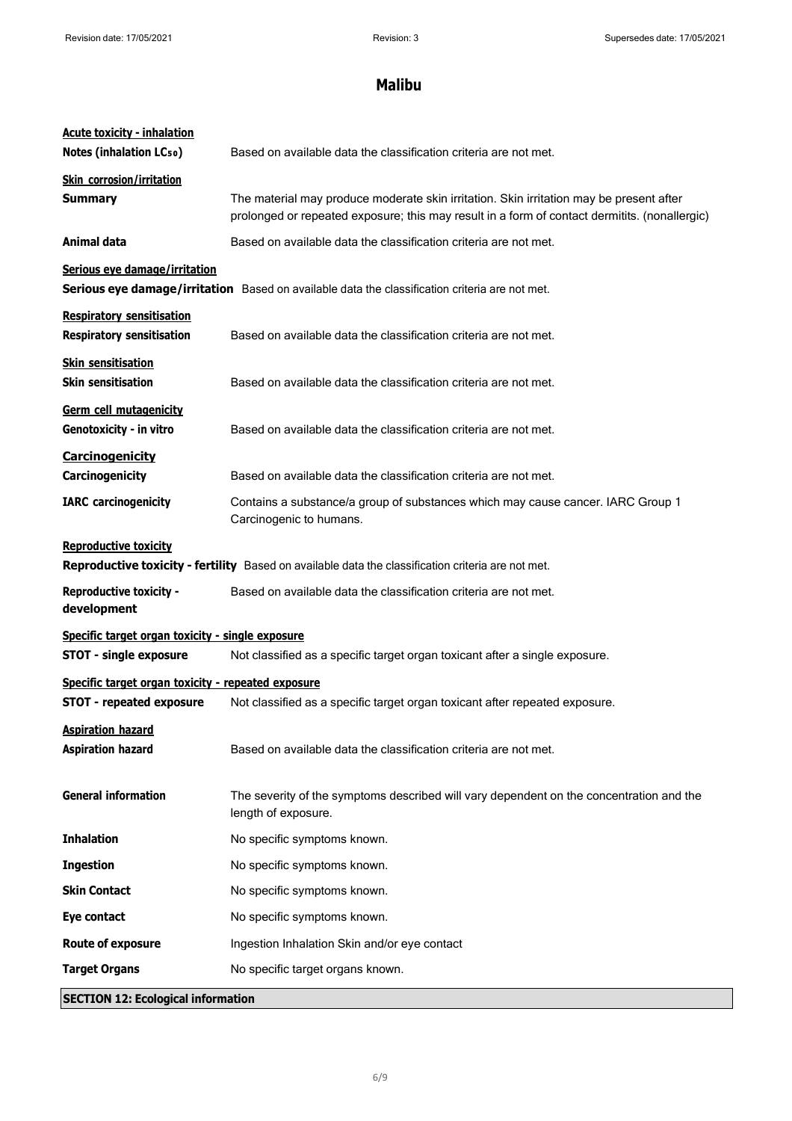| <b>Acute toxicity - inhalation</b><br><b>Notes (inhalation LCso)</b>                                                               | Based on available data the classification criteria are not met.                                                                                                                         |  |
|------------------------------------------------------------------------------------------------------------------------------------|------------------------------------------------------------------------------------------------------------------------------------------------------------------------------------------|--|
| <b>Skin corrosion/irritation</b><br><b>Summary</b>                                                                                 | The material may produce moderate skin irritation. Skin irritation may be present after<br>prolonged or repeated exposure; this may result in a form of contact dermitits. (nonallergic) |  |
| Animal data                                                                                                                        | Based on available data the classification criteria are not met.                                                                                                                         |  |
| Serious eye damage/irritation                                                                                                      | Serious eye damage/irritation Based on available data the classification criteria are not met.                                                                                           |  |
| <b>Respiratory sensitisation</b><br><b>Respiratory sensitisation</b>                                                               | Based on available data the classification criteria are not met.                                                                                                                         |  |
| <b>Skin sensitisation</b><br><b>Skin sensitisation</b>                                                                             | Based on available data the classification criteria are not met.                                                                                                                         |  |
| Germ cell mutagenicity<br>Genotoxicity - in vitro                                                                                  | Based on available data the classification criteria are not met.                                                                                                                         |  |
| <b>Carcinogenicity</b><br>Carcinogenicity                                                                                          | Based on available data the classification criteria are not met.                                                                                                                         |  |
| <b>IARC</b> carcinogenicity                                                                                                        | Contains a substance/a group of substances which may cause cancer. IARC Group 1<br>Carcinogenic to humans.                                                                               |  |
| <b>Reproductive toxicity</b><br>Reproductive toxicity - fertility Based on available data the classification criteria are not met. |                                                                                                                                                                                          |  |
| <b>Reproductive toxicity -</b><br>development                                                                                      | Based on available data the classification criteria are not met.                                                                                                                         |  |
| Specific target organ toxicity - single exposure                                                                                   |                                                                                                                                                                                          |  |
| <b>STOT - single exposure</b><br>Not classified as a specific target organ toxicant after a single exposure.                       |                                                                                                                                                                                          |  |
| Specific target organ toxicity - repeated exposure                                                                                 |                                                                                                                                                                                          |  |
| <b>STOT - repeated exposure</b>                                                                                                    | Not classified as a specific target organ toxicant after repeated exposure.                                                                                                              |  |
| <b>Aspiration hazard</b><br><b>Aspiration hazard</b>                                                                               | Based on available data the classification criteria are not met.                                                                                                                         |  |
| <b>General information</b>                                                                                                         | The severity of the symptoms described will vary dependent on the concentration and the<br>length of exposure.                                                                           |  |
| <b>Inhalation</b>                                                                                                                  | No specific symptoms known.                                                                                                                                                              |  |
| <b>Ingestion</b>                                                                                                                   | No specific symptoms known.                                                                                                                                                              |  |
| <b>Skin Contact</b>                                                                                                                | No specific symptoms known.                                                                                                                                                              |  |
| Eye contact                                                                                                                        | No specific symptoms known.                                                                                                                                                              |  |
| <b>Route of exposure</b>                                                                                                           | Ingestion Inhalation Skin and/or eye contact                                                                                                                                             |  |
| <b>Target Organs</b>                                                                                                               | No specific target organs known.                                                                                                                                                         |  |
| <b>SECTION 12: Ecological information</b>                                                                                          |                                                                                                                                                                                          |  |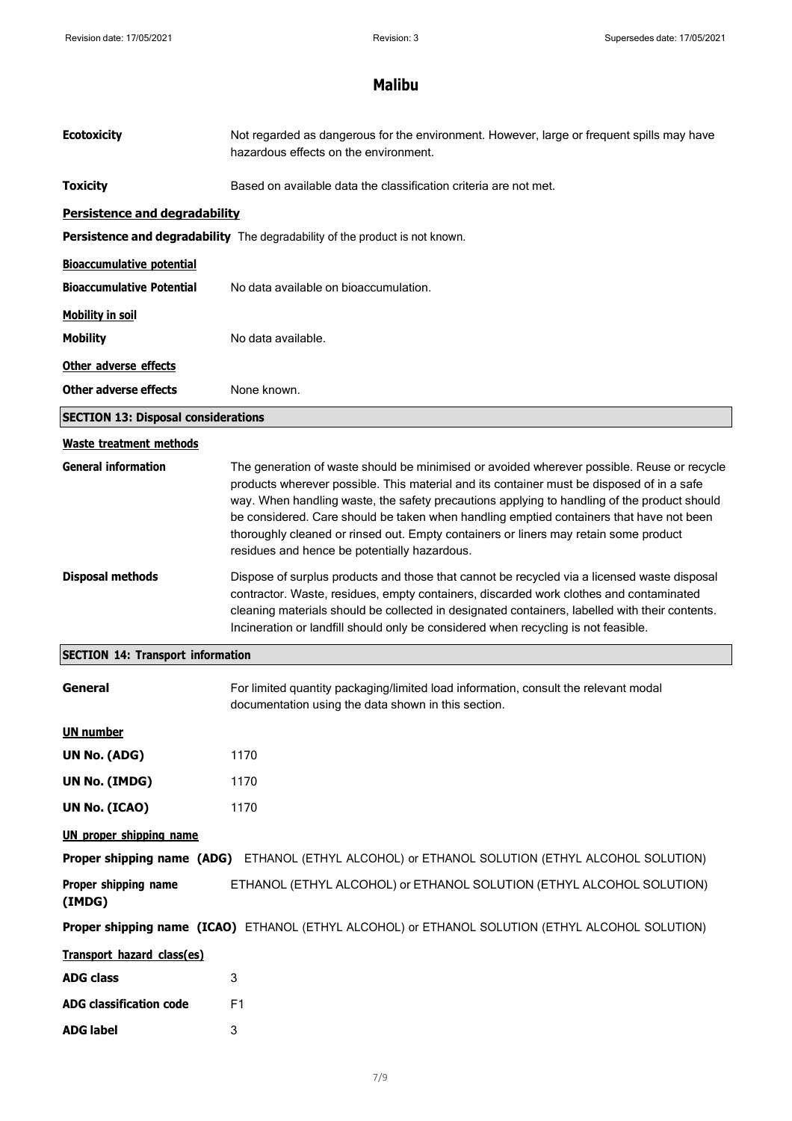| <b>Ecotoxicity</b>                         | Not regarded as dangerous for the environment. However, large or frequent spills may have<br>hazardous effects on the environment.                                                                                                                                                                                                                                                                                                                                                                                        |  |  |
|--------------------------------------------|---------------------------------------------------------------------------------------------------------------------------------------------------------------------------------------------------------------------------------------------------------------------------------------------------------------------------------------------------------------------------------------------------------------------------------------------------------------------------------------------------------------------------|--|--|
| <b>Toxicity</b>                            | Based on available data the classification criteria are not met.                                                                                                                                                                                                                                                                                                                                                                                                                                                          |  |  |
| Persistence and degradability              |                                                                                                                                                                                                                                                                                                                                                                                                                                                                                                                           |  |  |
|                                            | Persistence and degradability The degradability of the product is not known.                                                                                                                                                                                                                                                                                                                                                                                                                                              |  |  |
| <b>Bioaccumulative potential</b>           |                                                                                                                                                                                                                                                                                                                                                                                                                                                                                                                           |  |  |
| <b>Bioaccumulative Potential</b>           | No data available on bioaccumulation.                                                                                                                                                                                                                                                                                                                                                                                                                                                                                     |  |  |
| <b>Mobility in soil</b>                    |                                                                                                                                                                                                                                                                                                                                                                                                                                                                                                                           |  |  |
| <b>Mobility</b>                            | No data available.                                                                                                                                                                                                                                                                                                                                                                                                                                                                                                        |  |  |
| Other adverse effects                      |                                                                                                                                                                                                                                                                                                                                                                                                                                                                                                                           |  |  |
| Other adverse effects                      | None known.                                                                                                                                                                                                                                                                                                                                                                                                                                                                                                               |  |  |
| <b>SECTION 13: Disposal considerations</b> |                                                                                                                                                                                                                                                                                                                                                                                                                                                                                                                           |  |  |
| <b>Waste treatment methods</b>             |                                                                                                                                                                                                                                                                                                                                                                                                                                                                                                                           |  |  |
| <b>General information</b>                 | The generation of waste should be minimised or avoided wherever possible. Reuse or recycle<br>products wherever possible. This material and its container must be disposed of in a safe<br>way. When handling waste, the safety precautions applying to handling of the product should<br>be considered. Care should be taken when handling emptied containers that have not been<br>thoroughly cleaned or rinsed out. Empty containers or liners may retain some product<br>residues and hence be potentially hazardous. |  |  |
| <b>Disposal methods</b>                    | Dispose of surplus products and those that cannot be recycled via a licensed waste disposal<br>contractor. Waste, residues, empty containers, discarded work clothes and contaminated<br>cleaning materials should be collected in designated containers, labelled with their contents.<br>Incineration or landfill should only be considered when recycling is not feasible.                                                                                                                                             |  |  |
| <b>SECTION 14: Transport information</b>   |                                                                                                                                                                                                                                                                                                                                                                                                                                                                                                                           |  |  |
| General                                    | For limited quantity packaging/limited load information, consult the relevant modal<br>documentation using the data shown in this section.                                                                                                                                                                                                                                                                                                                                                                                |  |  |
| <b>UN number</b>                           |                                                                                                                                                                                                                                                                                                                                                                                                                                                                                                                           |  |  |
| UN No. (ADG)                               | 1170                                                                                                                                                                                                                                                                                                                                                                                                                                                                                                                      |  |  |
| UN No. (IMDG)                              | 1170                                                                                                                                                                                                                                                                                                                                                                                                                                                                                                                      |  |  |
| UN No. (ICAO)                              | 1170                                                                                                                                                                                                                                                                                                                                                                                                                                                                                                                      |  |  |
| <b>UN proper shipping name</b>             |                                                                                                                                                                                                                                                                                                                                                                                                                                                                                                                           |  |  |
| Proper shipping name (ADG)                 | ETHANOL (ETHYL ALCOHOL) or ETHANOL SOLUTION (ETHYL ALCOHOL SOLUTION)                                                                                                                                                                                                                                                                                                                                                                                                                                                      |  |  |
| Proper shipping name<br>(IMDG)             | ETHANOL (ETHYL ALCOHOL) or ETHANOL SOLUTION (ETHYL ALCOHOL SOLUTION)                                                                                                                                                                                                                                                                                                                                                                                                                                                      |  |  |
|                                            | Proper shipping name (ICAO) ETHANOL (ETHYL ALCOHOL) or ETHANOL SOLUTION (ETHYL ALCOHOL SOLUTION)                                                                                                                                                                                                                                                                                                                                                                                                                          |  |  |
| Transport hazard class(es)                 |                                                                                                                                                                                                                                                                                                                                                                                                                                                                                                                           |  |  |
| <b>ADG class</b>                           | 3                                                                                                                                                                                                                                                                                                                                                                                                                                                                                                                         |  |  |
| <b>ADG classification code</b>             | F1                                                                                                                                                                                                                                                                                                                                                                                                                                                                                                                        |  |  |
| <b>ADG label</b>                           | 3                                                                                                                                                                                                                                                                                                                                                                                                                                                                                                                         |  |  |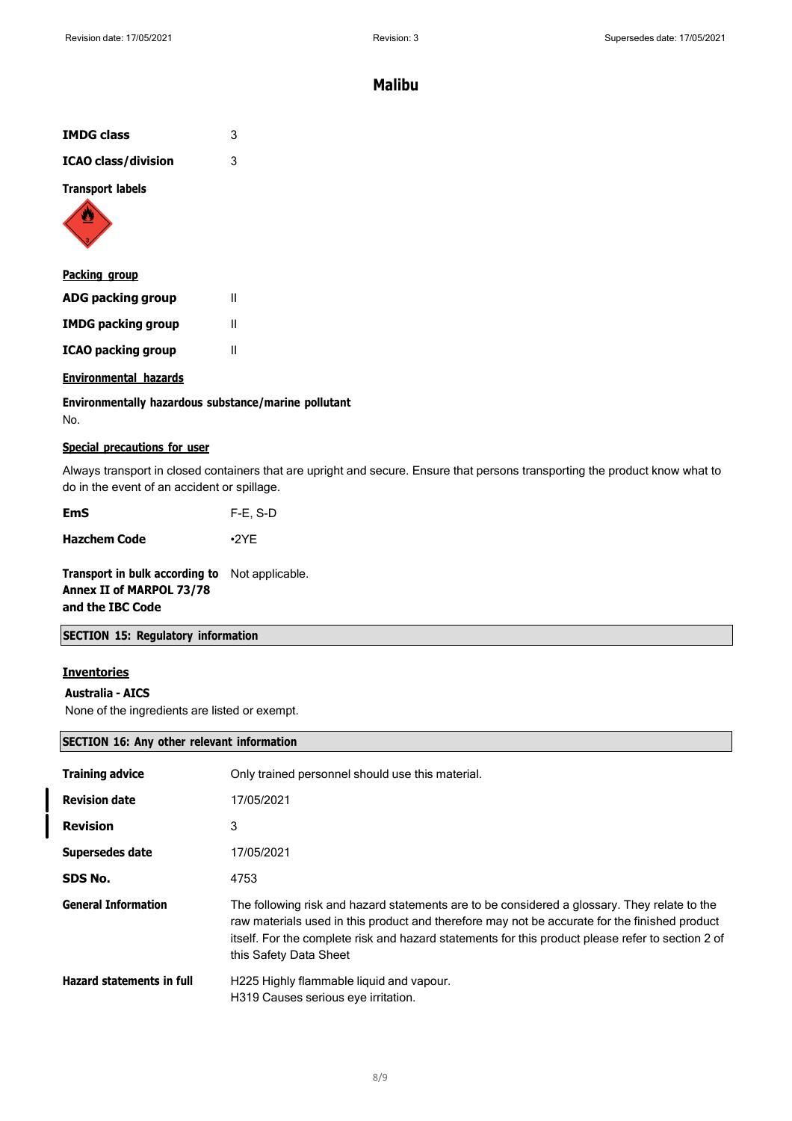| <b>IMDG class</b>          | 3 |
|----------------------------|---|
| <b>ICAO class/division</b> | 3 |
| <b>Transport labels</b>    |   |



| <u>Packing group</u>      |   |
|---------------------------|---|
| ADG packing group         | Ш |
| <b>IMDG packing group</b> |   |
| <b>ICAO packing group</b> | Ш |

### **Environmental hazards**

**Environmentally hazardous substance/marine pollutant** No.

### **Special precautions for user**

Always transport in closed containers that are upright and secure. Ensure that persons transporting the product know what to do in the event of an accident or spillage.

**Hazchem Code** •2YE

**Transport in bulk according to** Not applicable. **Annex II of MARPOL 73/78 and the IBC Code**

## **SECTION 15: Regulatory information**

### **Inventories**

## **Australia - AICS**

None of the ingredients are listed or exempt.

## **SECTION 16: Any other relevant information**

| <b>Training advice</b>           | Only trained personnel should use this material.                                                                                                                                                                                                                                                                             |
|----------------------------------|------------------------------------------------------------------------------------------------------------------------------------------------------------------------------------------------------------------------------------------------------------------------------------------------------------------------------|
| <b>Revision date</b>             | 17/05/2021                                                                                                                                                                                                                                                                                                                   |
| <b>Revision</b>                  | 3                                                                                                                                                                                                                                                                                                                            |
| Supersedes date                  | 17/05/2021                                                                                                                                                                                                                                                                                                                   |
| SDS No.                          | 4753                                                                                                                                                                                                                                                                                                                         |
| <b>General Information</b>       | The following risk and hazard statements are to be considered a glossary. They relate to the<br>raw materials used in this product and therefore may not be accurate for the finished product<br>itself. For the complete risk and hazard statements for this product please refer to section 2 of<br>this Safety Data Sheet |
| <b>Hazard statements in full</b> | H225 Highly flammable liquid and vapour.<br>H319 Causes serious eve irritation.                                                                                                                                                                                                                                              |